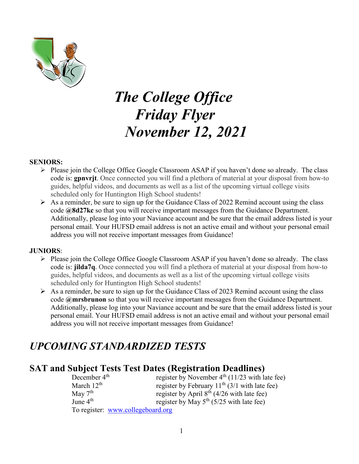

# *The College Office Friday Flyer November 12, 2021*

#### **SENIORS:**

- $\triangleright$  Please join the College Office Google Classroom ASAP if you haven't done so already. The class code is: **gpnvrjt**. Once connected you will find a plethora of material at your disposal from how-to guides, helpful videos, and documents as well as a list of the upcoming virtual college visits scheduled only for Huntington High School students!
- $\triangleright$  As a reminder, be sure to sign up for the Guidance Class of 2022 Remind account using the class code **@8d27kc** so that you will receive important messages from the Guidance Department. Additionally, please log into your Naviance account and be sure that the email address listed is your personal email. Your HUFSD email address is not an active email and without your personal email address you will not receive important messages from Guidance!

#### **JUNIORS**:

- $\triangleright$  Please join the College Office Google Classroom ASAP if you haven't done so already. The class code is: **jilda7q**. Once connected you will find a plethora of material at your disposal from how-to guides, helpful videos, and documents as well as a list of the upcoming virtual college visits scheduled only for Huntington High School students!
- $\triangleright$  As a reminder, be sure to sign up for the Guidance Class of 2023 Remind account using the class code **@mrsbrunon** so that you will receive important messages from the Guidance Department. Additionally, please log into your Naviance account and be sure that the email address listed is your personal email. Your HUFSD email address is not an active email and without your personal email address you will not receive important messages from Guidance!

# *UPCOMING STANDARDIZED TESTS*

### **SAT and Subject Tests Test Dates (Registration Deadlines)**

| December 4 <sup>th</sup> | register by November $4th$ (11/23 with late fee) |
|--------------------------|--------------------------------------------------|
| March $12th$             | register by February $11th$ (3/1 with late fee)  |
| May $7th$                | register by April $8^{th}$ (4/26 with late fee)  |
| June $4th$               | register by May $5^{th}$ (5/25 with late fee)    |
|                          | To register: www.collegeboard.org                |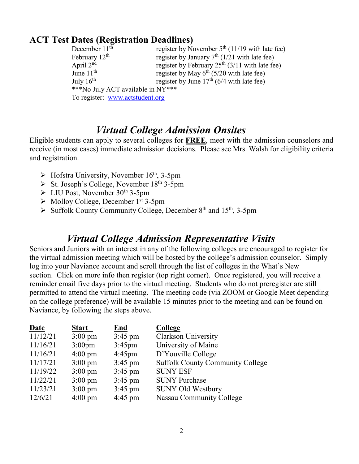### **ACT Test Dates (Registration Deadlines)**

| December $11th$                   | register by November $5th$ (11/19 with late fee)     |  |  |
|-----------------------------------|------------------------------------------------------|--|--|
| February $12th$                   | register by January $7th$ (1/21 with late fee)       |  |  |
| April $2nd$                       | register by February $25th$ (3/11 with late fee)     |  |  |
| June $11th$                       | register by May 6 <sup>th</sup> (5/20 with late fee) |  |  |
| July $16^{\text{th}}$             | register by June $17th$ (6/4 with late fee)          |  |  |
| ***No July ACT available in NY*** |                                                      |  |  |
| To register: www.actstudent.org   |                                                      |  |  |

### *Virtual College Admission Onsites*

Eligible students can apply to several colleges for **FREE**, meet with the admission counselors and receive (in most cases) immediate admission decisions. Please see Mrs. Walsh for eligibility criteria and registration.

- $\triangleright$  Hofstra University, November 16<sup>th</sup>, 3-5pm
- $\triangleright$  St. Joseph's College, November 18<sup>th</sup> 3-5pm
- $\triangleright$  LIU Post, November 30<sup>th</sup> 3-5pm
- $\triangleright$  Molloy College, December 1<sup>st</sup> 3-5pm
- $\triangleright$  Suffolk County Community College, December 8<sup>th</sup> and 15<sup>th</sup>, 3-5pm

### *Virtual College Admission Representative Visits*

Seniors and Juniors with an interest in any of the following colleges are encouraged to register for the virtual admission meeting which will be hosted by the college's admission counselor. Simply log into your Naviance account and scroll through the list of colleges in the What's New section. Click on more info then register (top right corner). Once registered, you will receive a reminder email five days prior to the virtual meeting. Students who do not preregister are still permitted to attend the virtual meeting. The meeting code (via ZOOM or Google Meet depending on the college preference) will be available 15 minutes prior to the meeting and can be found on Naviance, by following the steps above.

| Date     | <b>Start</b>       | End               | <b>College</b>                          |
|----------|--------------------|-------------------|-----------------------------------------|
| 11/12/21 | $3:00 \text{ pm}$  | $3:45 \text{ pm}$ | <b>Clarkson University</b>              |
| 11/16/21 | 3:00 <sub>pm</sub> | $3:45$ pm         | University of Maine                     |
| 11/16/21 | $4:00 \text{ pm}$  | $4:45$ pm         | D'Youville College                      |
| 11/17/21 | $3:00 \text{ pm}$  | $3:45 \text{ pm}$ | <b>Suffolk County Community College</b> |
| 11/19/22 | $3:00 \text{ pm}$  | $3:45$ pm         | <b>SUNY ESF</b>                         |
| 11/22/21 | $3:00 \text{ pm}$  | $3:45$ pm         | <b>SUNY Purchase</b>                    |
| 11/23/21 | $3:00 \text{ pm}$  | $3:45 \text{ pm}$ | <b>SUNY Old Westbury</b>                |
| 12/6/21  | $4:00 \text{ pm}$  | $4:45$ pm         | Nassau Community College                |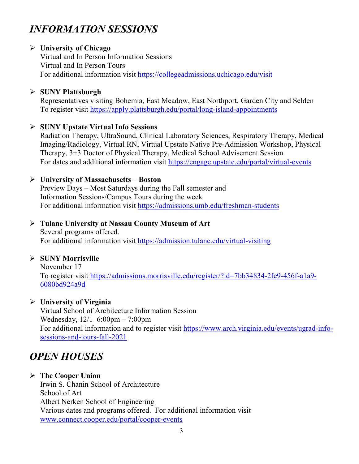# *INFORMATION SESSIONS*

### **University of Chicago**

Virtual and In Person Information Sessions Virtual and In Person Tours For additional information visit<https://collegeadmissions.uchicago.edu/visit>

### **SUNY Plattsburgh**

Representatives visiting Bohemia, East Meadow, East Northport, Garden City and Selden To register visit<https://apply.plattsburgh.edu/portal/long-island-appointments>

### **SUNY Upstate Virtual Info Sessions**

Radiation Therapy, UltraSound, Clinical Laboratory Sciences, Respiratory Therapy, Medical Imaging/Radiology, Virtual RN, Virtual Upstate Native Pre-Admission Workshop, Physical Therapy, 3+3 Doctor of Physical Therapy, Medical School Advisement Session For dates and additional information visit<https://engage.upstate.edu/portal/virtual-events>

### **University of Massachusetts – Boston**

Preview Days – Most Saturdays during the Fall semester and Information Sessions/Campus Tours during the week For additional information visit<https://admissions.umb.edu/freshman-students>

### **Tulane University at Nassau County Museum of Art**

Several programs offered. For additional information visit<https://admission.tulane.edu/virtual-visiting>

### **SUNY Morrisville**

November 17 To register visit [https://admissions.morrisville.edu/register/?id=7bb34834-2fe9-456f-a1a9-](https://admissions.morrisville.edu/register/?id=7bb34834-2fe9-456f-a1a9-6080bd924a9d) [6080bd924a9d](https://admissions.morrisville.edu/register/?id=7bb34834-2fe9-456f-a1a9-6080bd924a9d)

### **University of Virginia**

Virtual School of Architecture Information Session Wednesday, 12/1 6:00pm – 7:00pm For additional information and to register visit [https://www.arch.virginia.edu/events/ugrad-info](https://www.arch.virginia.edu/events/ugrad-info-sessions-and-tours-fall-2021)[sessions-and-tours-fall-2021](https://www.arch.virginia.edu/events/ugrad-info-sessions-and-tours-fall-2021)

# *OPEN HOUSES*

### **The Cooper Union**

Irwin S. Chanin School of Architecture School of Art Albert Nerken School of Engineering Various dates and programs offered. For additional information visit [www.connect.cooper.edu/portal/cooper-events](http://www.connect.cooper.edu/portal/cooper-events)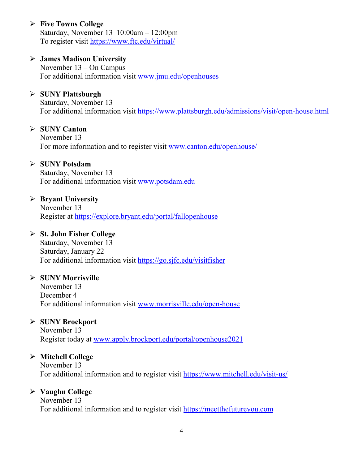### **Five Towns College**

Saturday, November 13 10:00am – 12:00pm To register visit<https://www.ftc.edu/virtual/>

### **James Madison University**

November 13 – On Campus For additional information visit [www.jmu.edu/openhouses](http://www.jmu.edu/openhouses)

### **SUNY Plattsburgh**

Saturday, November 13 For additional information visit<https://www.plattsburgh.edu/admissions/visit/open-house.html>

### **SUNY Canton**

November 13 For more information and to register visit [www.canton.edu/openhouse/](http://www.canton.edu/openhouse/)

### **SUNY Potsdam**

Saturday, November 13 For additional information visit [www.potsdam.edu](http://www.potsdam.edu/)

### **Bryant University**

November 13 Register at<https://explore.bryant.edu/portal/fallopenhouse>

#### **St. John Fisher College**

Saturday, November 13 Saturday, January 22 For additional information visit <https://go.sjfc.edu/visitfisher>

### **SUNY Morrisville**

November 13 December 4 For additional information visit [www.morrisville.edu/open-house](http://www.morrisville.edu/open-house)

### **SUNY Brockport**

November 13 Register today at [www.apply.brockport.edu/portal/openhouse2021](http://www.apply.brockport.edu/portal/openhouse2021)

### **Mitchell College**

November 13 For additional information and to register visit<https://www.mitchell.edu/visit-us/>

### **Vaughn College**

November 13 For additional information and to register visit [https://meetthefutureyou.com](https://meetthefutureyou.com/)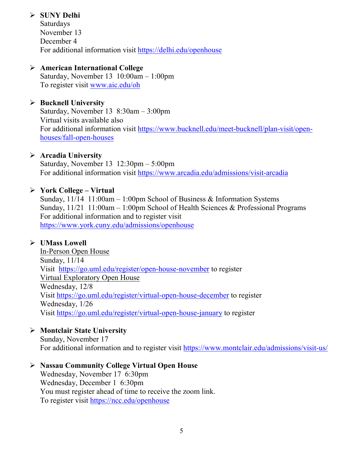### **SUNY Delhi**

Saturdays November 13 December 4 For additional information visit<https://delhi.edu/openhouse>

### **American International College**

Saturday, November 13 10:00am – 1:00pm To register visit [www.aic.edu/oh](http://www.aic.edu/oh)

### **Bucknell University**

Saturday, November 13 8:30am – 3:00pm Virtual visits available also For additional information visit [https://www.bucknell.edu/meet-bucknell/plan-visit/open](https://www.bucknell.edu/meet-bucknell/plan-visit/open-houses/fall-open-houses)[houses/fall-open-houses](https://www.bucknell.edu/meet-bucknell/plan-visit/open-houses/fall-open-houses)

### **Arcadia University**

Saturday, November 13 12:30pm – 5:00pm For additional information visit<https://www.arcadia.edu/admissions/visit-arcadia>

### **York College – Virtual**

Sunday,  $11/14$  11:00am – 1:00pm School of Business & Information Systems Sunday, 11/21 11:00am – 1:00pm School of Health Sciences & Professional Programs For additional information and to register visit <https://www.york.cuny.edu/admissions/openhouse>

### **UMass Lowell**

In-Person Open House Sunday, 11/14 Visit <https://go.uml.edu/register/open-house-november> to register Virtual Exploratory Open House Wednesday, 12/8 Visit<https://go.uml.edu/register/virtual-open-house-december> to register Wednesday, 1/26 Visit<https://go.uml.edu/register/virtual-open-house-january> to register

### **Montclair State University**

Sunday, November 17 For additional information and to register visit<https://www.montclair.edu/admissions/visit-us/>

### **Nassau Community College Virtual Open House**

Wednesday, November 17 6:30pm Wednesday, December 1 6:30pm You must register ahead of time to receive the zoom link. To register visit<https://ncc.edu/openhouse>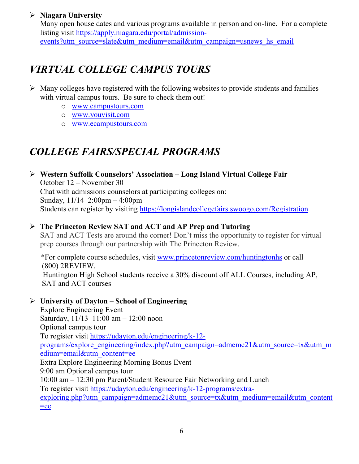### **Niagara University**

Many open house dates and various programs available in person and on-line. For a complete listing visit [https://apply.niagara.edu/portal/admission](https://apply.niagara.edu/portal/admission-events?utm_source=slate&utm_medium=email&utm_campaign=usnews_hs_email)[events?utm\\_source=slate&utm\\_medium=email&utm\\_campaign=usnews\\_hs\\_email](https://apply.niagara.edu/portal/admission-events?utm_source=slate&utm_medium=email&utm_campaign=usnews_hs_email)

# *VIRTUAL COLLEGE CAMPUS TOURS*

- $\triangleright$  Many colleges have registered with the following websites to provide students and families with virtual campus tours. Be sure to check them out!
	- o [www.campustours.com](http://www.campustours.com/)
	- o [www.youvisit.com](http://www.youvisit.com/)
	- o [www.ecampustours.com](http://www.ecampustours.com/)

# *COLLEGE FAIRS/SPECIAL PROGRAMS*

 **Western Suffolk Counselors' Association – Long Island Virtual College Fair** October 12 – November 30 Chat with admissions counselors at participating colleges on: Sunday, 11/14 2:00pm – 4:00pm Students can register by visiting<https://longislandcollegefairs.swoogo.com/Registration>

### **The Princeton Review SAT and ACT and AP Prep and Tutoring**

SAT and ACT Tests are around the corner! Don't miss the opportunity to register for virtual prep courses through our partnership with The Princeton Review.

 \*For complete course schedules, visit [www.princetonreview.com/huntingtonhs](http://www.princetonreview.com/huntingtonhs) or call (800) 2REVIEW. Huntington High School students receive a 30% discount off ALL Courses, including AP, SAT and ACT courses

### **University of Dayton – School of Engineering**

Explore Engineering Event Saturday, 11/13 11:00 am – 12:00 noon Optional campus tour To register visit [https://udayton.edu/engineering/k-12](https://udayton.edu/engineering/k-12-programs/explore_engineering/index.php?utm_campaign=admemc21&utm_source=tx&utm_medium=email&utm_content=ee) [programs/explore\\_engineering/index.php?utm\\_campaign=admemc21&utm\\_source=tx&utm\\_m](https://udayton.edu/engineering/k-12-programs/explore_engineering/index.php?utm_campaign=admemc21&utm_source=tx&utm_medium=email&utm_content=ee) [edium=email&utm\\_content=ee](https://udayton.edu/engineering/k-12-programs/explore_engineering/index.php?utm_campaign=admemc21&utm_source=tx&utm_medium=email&utm_content=ee) Extra Explore Engineering Morning Bonus Event 9:00 am Optional campus tour 10:00 am – 12:30 pm Parent/Student Resource Fair Networking and Lunch To register visit [https://udayton.edu/engineering/k-12-programs/extra](https://udayton.edu/engineering/k-12-programs/extra-exploring.php?utm_campaign=admemc21&utm_source=tx&utm_medium=email&utm_content=ee)[exploring.php?utm\\_campaign=admemc21&utm\\_source=tx&utm\\_medium=email&utm\\_content](https://udayton.edu/engineering/k-12-programs/extra-exploring.php?utm_campaign=admemc21&utm_source=tx&utm_medium=email&utm_content=ee)  $=$ ee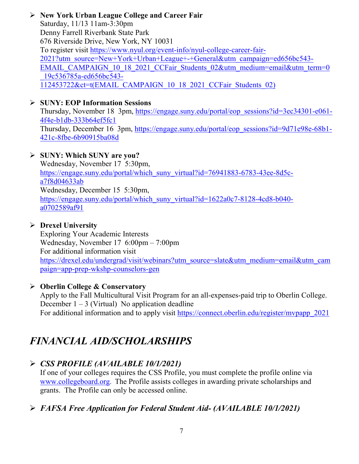**New York Urban League College and Career Fair** Saturday, 11/13 11am-3:30pm Denny Farrell Riverbank State Park 676 Riverside Drive, New York, NY 10031 To register visit [https://www.nyul.org/event-info/nyul-college-career-fair-](https://www.nyul.org/event-info/nyul-college-career-fair-2021?utm_source=New+York+Urban+League+-+General&utm_campaign=ed656bc543-EMAIL_CAMPAIGN_10_18_2021_CCFair_Students_02&utm_medium=email&utm_term=0_19c536785a-ed656bc543-112453722&ct=t(EMAIL_CAMPAIGN_10_18_2021_CCFair_Students_02))[2021?utm\\_source=New+York+Urban+League+-+General&utm\\_campaign=ed656bc543-](https://www.nyul.org/event-info/nyul-college-career-fair-2021?utm_source=New+York+Urban+League+-+General&utm_campaign=ed656bc543-EMAIL_CAMPAIGN_10_18_2021_CCFair_Students_02&utm_medium=email&utm_term=0_19c536785a-ed656bc543-112453722&ct=t(EMAIL_CAMPAIGN_10_18_2021_CCFair_Students_02)) [EMAIL\\_CAMPAIGN\\_10\\_18\\_2021\\_CCFair\\_Students\\_02&utm\\_medium=email&utm\\_term=0](https://www.nyul.org/event-info/nyul-college-career-fair-2021?utm_source=New+York+Urban+League+-+General&utm_campaign=ed656bc543-EMAIL_CAMPAIGN_10_18_2021_CCFair_Students_02&utm_medium=email&utm_term=0_19c536785a-ed656bc543-112453722&ct=t(EMAIL_CAMPAIGN_10_18_2021_CCFair_Students_02)) [\\_19c536785a-ed656bc543-](https://www.nyul.org/event-info/nyul-college-career-fair-2021?utm_source=New+York+Urban+League+-+General&utm_campaign=ed656bc543-EMAIL_CAMPAIGN_10_18_2021_CCFair_Students_02&utm_medium=email&utm_term=0_19c536785a-ed656bc543-112453722&ct=t(EMAIL_CAMPAIGN_10_18_2021_CCFair_Students_02)) [112453722&ct=t\(EMAIL\\_CAMPAIGN\\_10\\_18\\_2021\\_CCFair\\_Students\\_02\)](https://www.nyul.org/event-info/nyul-college-career-fair-2021?utm_source=New+York+Urban+League+-+General&utm_campaign=ed656bc543-EMAIL_CAMPAIGN_10_18_2021_CCFair_Students_02&utm_medium=email&utm_term=0_19c536785a-ed656bc543-112453722&ct=t(EMAIL_CAMPAIGN_10_18_2021_CCFair_Students_02))

### **SUNY: EOP Information Sessions**

Thursday, November 18 3pm, [https://engage.suny.edu/portal/eop\\_sessions?id=3ec34301-e061-](https://engage.suny.edu/portal/eop_sessions?id=3ec34301-e061-4f4e-b1db-333b64ef5fc1) [4f4e-b1db-333b64ef5fc1](https://engage.suny.edu/portal/eop_sessions?id=3ec34301-e061-4f4e-b1db-333b64ef5fc1) Thursday, December 16 3pm, [https://engage.suny.edu/portal/eop\\_sessions?id=9d71e98e-68b1-](https://engage.suny.edu/portal/eop_sessions?id=9d71e98e-68b1-421c-8fbe-6b90915ba08d) [421c-8fbe-6b90915ba08d](https://engage.suny.edu/portal/eop_sessions?id=9d71e98e-68b1-421c-8fbe-6b90915ba08d)

### **SUNY: Which SUNY are you?**

Wednesday, November 17 5:30pm, [https://engage.suny.edu/portal/which\\_suny\\_virtual?id=76941883-6783-43ee-8d5c](https://engage.suny.edu/portal/which_suny_virtual?id=76941883-6783-43ee-8d5c-a7f8d04633ab)[a7f8d04633ab](https://engage.suny.edu/portal/which_suny_virtual?id=76941883-6783-43ee-8d5c-a7f8d04633ab) Wednesday, December 15 5:30pm, [https://engage.suny.edu/portal/which\\_suny\\_virtual?id=1622a0c7-8128-4cd8-b040](https://engage.suny.edu/portal/which_suny_virtual?id=1622a0c7-8128-4cd8-b040-a0702589af91) [a0702589af91](https://engage.suny.edu/portal/which_suny_virtual?id=1622a0c7-8128-4cd8-b040-a0702589af91)

### **Drexel University**

Exploring Your Academic Interests Wednesday, November 17 6:00pm – 7:00pm For additional information visit [https://drexel.edu/undergrad/visit/webinars?utm\\_source=slate&utm\\_medium=email&utm\\_cam](https://drexel.edu/undergrad/visit/webinars?utm_source=slate&utm_medium=email&utm_campaign=app-prep-wkshp-counselors-gen) [paign=app-prep-wkshp-counselors-gen](https://drexel.edu/undergrad/visit/webinars?utm_source=slate&utm_medium=email&utm_campaign=app-prep-wkshp-counselors-gen)

### **Oberlin College & Conservatory**

Apply to the Fall Multicultural Visit Program for an all-expenses-paid trip to Oberlin College. December  $1 - 3$  (Virtual) No application deadline For additional information and to apply visit https://connect.oberlin.edu/register/mypapp\_2021

# *FINANCIAL AID/SCHOLARSHIPS*

### *CSS PROFILE (AVAILABLE 10/1/2021)*

If one of your colleges requires the CSS Profile, you must complete the profile online via [www.collegeboard.org](http://www.collegeboard.org/). The Profile assists colleges in awarding private scholarships and grants. The Profile can only be accessed online.

### *FAFSA Free Application for Federal Student Aid- (AVAILABLE 10/1/2021)*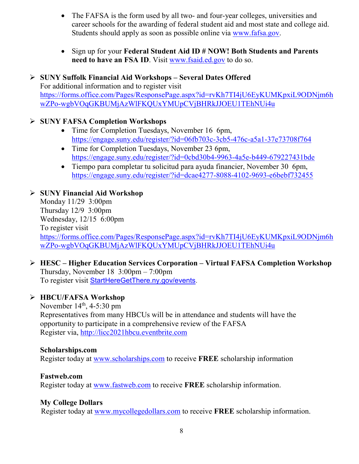- The FAFSA is the form used by all two- and four-year colleges, universities and career schools for the awarding of [federal student aid](http://studentaid.ed.gov/students/publications/student_guide/2010-2011/english/typesofFSA_grants.htm) and most state and college aid. Students should apply as soon as possible online via [www.fafsa.gov.](http://www.fafsa.gov/)
- Sign up for your **Federal Student Aid ID # NOW! Both Students and Parents need to have an FSA ID.** Visit [www.fsaid.ed.gov](http://www.fsaid.ed.gov/) to do so.

 **SUNY Suffolk Financial Aid Workshops – Several Dates Offered** For additional information and to register visit [https://forms.office.com/Pages/ResponsePage.aspx?id=rvKh7TI4jU6EyKUMKpxiL9ODNjm6h](https://forms.office.com/Pages/ResponsePage.aspx?id=rvKh7TI4jU6EyKUMKpxiL9ODNjm6hwZPo-wgbVOqGKBUMjAzWlFKQUxYMUpCVjBHRkJJOEU1TEhNUi4u) [wZPo-wgbVOqGKBUMjAzWlFKQUxYMUpCVjBHRkJJOEU1TEhNUi4u](https://forms.office.com/Pages/ResponsePage.aspx?id=rvKh7TI4jU6EyKUMKpxiL9ODNjm6hwZPo-wgbVOqGKBUMjAzWlFKQUxYMUpCVjBHRkJJOEU1TEhNUi4u)

### **SUNY FAFSA Completion Workshops**

- Time for Completion Tuesdays, November 16 6pm, <https://engage.suny.edu/register/?id=06fb703c-3cb5-476c-a5a1-37e73708f764>
- Time for Completion Tuesdays, November 23 6pm, <https://engage.suny.edu/register/?id=0cbd30b4-9963-4a5e-b449-679227431bde>
- Tiempo para completar tu solicitud para ayuda financier, November 30 6pm, <https://engage.suny.edu/register/?id=dcae4277-8088-4102-9693-e6bebf732455>

### **SUNY Financial Aid Workshop**

Monday 11/29 3:00pm Thursday 12/9 3:00pm Wednesday, 12/15 6:00pm To register visit [https://forms.office.com/Pages/ResponsePage.aspx?id=rvKh7TI4jU6EyKUMKpxiL9ODNjm6h](https://forms.office.com/Pages/ResponsePage.aspx?id=rvKh7TI4jU6EyKUMKpxiL9ODNjm6hwZPo-wgbVOqGKBUMjAzWlFKQUxYMUpCVjBHRkJJOEU1TEhNUi4u) [wZPo-wgbVOqGKBUMjAzWlFKQUxYMUpCVjBHRkJJOEU1TEhNUi4u](https://forms.office.com/Pages/ResponsePage.aspx?id=rvKh7TI4jU6EyKUMKpxiL9ODNjm6hwZPo-wgbVOqGKBUMjAzWlFKQUxYMUpCVjBHRkJJOEU1TEhNUi4u)

 **HESC – Higher Education Services Corporation – Virtual FAFSA Completion Workshop** Thursday, November 18 3:00pm – 7:00pm To register visit [StartHereGetThere.ny.gov/events.](https://startheregetthere.ny.gov/events)

### **HBCU/FAFSA Workshop**

November  $14<sup>th</sup>$ , 4-5:30 pm Representatives from many HBCUs will be in attendance and students will have the opportunity to participate in a comprehensive review of the FAFSA Register via, [http://licc2021hbcu.eventbrite.com](http://licc2021hbcu.eventbrite.com/)

#### **Scholarships.com**

Register today at [www.scholarships.com](http://www.scholarships.com/) to receive **FREE** scholarship information

### **Fastweb.com**

Register today at [www.fastweb.com](http://www.fastweb.com/) to receive **FREE** scholarship information.

### **My College Dollars**

Register today at [www.mycollegedollars.com](http://www.mycollegedollars.com/) to receive **FREE** scholarship information.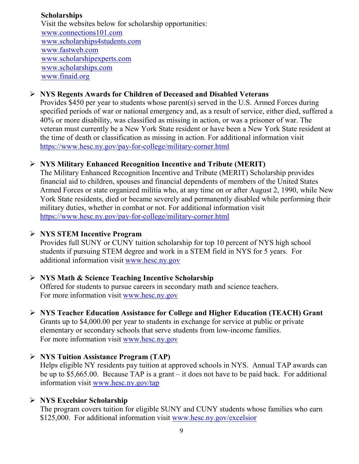### **Scholarships**

 Visit the websites below for scholarship opportunities: [www.connections101.com](http://www.connections101.com/) [www.scholarships4students.com](http://www.scholarships4students.com/) [www.fastweb.com](http://www.fastweb.com/) [www.scholarshipexperts.com](http://www.scholarshipexperts.com/) [www.scholarships.com](http://www.scholarships.com/) [www.finaid.org](http://www.finaid.org/)

### **NYS Regents Awards for Children of Deceased and Disabled Veterans**

Provides \$450 per year to students whose parent(s) served in the U.S. Armed Forces during specified periods of war or national emergency and, as a result of service, either died, suffered a 40% or more disability, was classified as missing in action, or was a prisoner of war. The veteran must currently be a New York State resident or have been a New York State resident at the time of death or classification as missing in action. For additional information visit <https://www.hesc.ny.gov/pay-for-college/military-corner.html>

### **NYS Military Enhanced Recognition Incentive and Tribute (MERIT)**

The Military Enhanced Recognition Incentive and Tribute (MERIT) Scholarship provides financial aid to children, spouses and financial dependents of members of the United States Armed Forces or state organized militia who, at any time on or after August 2, 1990, while New York State residents, died or became severely and permanently disabled while performing their military duties, whether in combat or not. For additional information visit <https://www.hesc.ny.gov/pay-for-college/military-corner.html>

### **NYS STEM Incentive Program**

Provides full SUNY or CUNY tuition scholarship for top 10 percent of NYS high school students if pursuing STEM degree and work in a STEM field in NYS for 5 years. For additional information visit [www.hesc.ny.gov](http://www.hesc.ny.gov/)

### **NYS Math & Science Teaching Incentive Scholarship**

Offered for students to pursue careers in secondary math and science teachers. For more information visit [www.hesc.ny.gov](http://www.hesc.ny.gov/)

### **NYS Teacher Education Assistance for College and Higher Education (TEACH) Grant** Grants up to \$4,000.00 per year to students in exchange for service at public or private elementary or secondary schools that serve students from low-income families. For more information visit [www.hesc.ny.gov](http://www.hesc.ny.gov/)

### **NYS Tuition Assistance Program (TAP)**

Helps eligible NY residents pay tuition at approved schools in NYS. Annual TAP awards can be up to \$5,665.00. Because TAP is a grant – it does not have to be paid back. For additional information visit [www.hesc.ny.gov/tap](http://www.hesc.ny.gov/tap)

### **NYS Excelsior Scholarship**

The program covers tuition for eligible SUNY and CUNY students whose families who earn \$125,000. For additional information visit [www.hesc.ny.gov/](http://www.hesc.ny.gov/)excelsior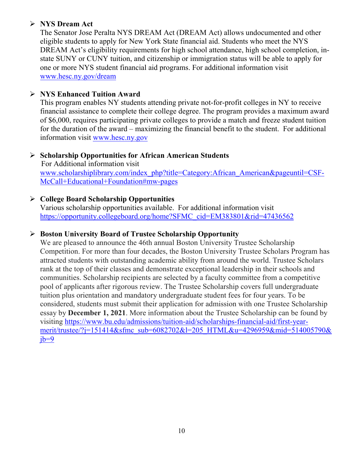### **NYS Dream Act**

The Senator Jose Peralta NYS DREAM Act (DREAM Act) allows undocumented and other eligible students to apply for New York State financial aid. Students who meet the NYS DREAM Act's eligibility requirements for high school attendance, high school completion, instate SUNY or CUNY tuition, and citizenship or immigration status will be able to apply for one or more NYS student financial aid programs. For additional information visit [www.hesc.ny.gov/dream](http://www.hesc.ny.gov/dream)

### **NYS Enhanced Tuition Award**

This program enables NY students attending private not-for-profit colleges in NY to receive financial assistance to complete their college degree. The program provides a maximum award of \$6,000, requires participating private colleges to provide a match and freeze student tuition for the duration of the award – maximizing the financial benefit to the student. For additional information visit [www.hesc.ny.gov](http://www.hesc.ny.gov/)

### **Scholarship Opportunities for African American Students**

 For Additional information visit [www.scholarshiplibrary.com/index\\_php?title=Category:African\\_American&pageuntil=CSF-](http://www.scholarshiplibrary.com/index_php?title=Category:African_American&pageuntil=CSF-%20%20%20McCall+Educational+Foundation#mw-pages)[McCall+Educational+Foundation#mw-pages](http://www.scholarshiplibrary.com/index_php?title=Category:African_American&pageuntil=CSF-%20%20%20McCall+Educational+Foundation#mw-pages)

### **College Board Scholarship Opportunities**

Various scholarship opportunities available. For additional information visit [https://opportunity.collegeboard.org/home?SFMC\\_cid=EM383801&rid=47436562](https://opportunity.collegeboard.org/home?SFMC_cid=EM383801&rid=47436562)

### **Boston University Board of Trustee Scholarship Opportunity**

We are pleased to announce the 46th annual Boston University Trustee Scholarship Competition. For more than four decades, the Boston University Trustee Scholars Program has attracted students with outstanding academic ability from around the world. Trustee Scholars rank at the top of their classes and demonstrate exceptional leadership in their schools and communities. Scholarship recipients are selected by a faculty committee from a competitive pool of applicants after rigorous review. The Trustee Scholarship covers full undergraduate tuition plus orientation and mandatory undergraduate student fees for four years. To be considered, students must submit their application for admission with one Trustee Scholarship essay by **December 1, 2021**. More information about the Trustee Scholarship can be found by visiting [https://www.bu.edu/admissions/tuition-aid/scholarships-financial-aid/first-year](https://www.bu.edu/admissions/tuition-aid/scholarships-financial-aid/first-year-merit/trustee/?j=151414&sfmc_sub=6082702&l=205_HTML&u=4296959&mid=514005790&jb=9)[merit/trustee/?j=151414&sfmc\\_sub=6082702&l=205\\_HTML&u=4296959&mid=514005790&](https://www.bu.edu/admissions/tuition-aid/scholarships-financial-aid/first-year-merit/trustee/?j=151414&sfmc_sub=6082702&l=205_HTML&u=4296959&mid=514005790&jb=9)  $ib=9$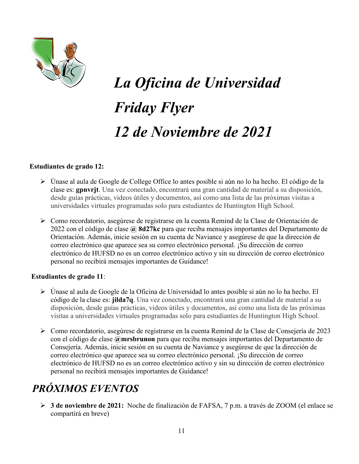

# *La Oficina de Universidad Friday Flyer 12 de Noviembre de 2021*

#### **Estudiantes de grado 12:**

- Únase al aula de Google de College Office lo antes posible si aún no lo ha hecho. El código de la clase es: **gpnvrjt**. Una vez conectado, encontrará una gran cantidad de material a su disposición, desde guías prácticas, videos útiles y documentos, así como una lista de las próximas visitas a universidades virtuales programadas solo para estudiantes de Huntington High School.
- Como recordatorio, asegúrese de registrarse en la cuenta Remind de la Clase de Orientación de 2022 con el código de clase **@ 8d27kc** para que reciba mensajes importantes del Departamento de Orientación. Además, inicie sesión en su cuenta de Naviance y asegúrese de que la dirección de correo electrónico que aparece sea su correo electrónico personal. ¡Su dirección de correo electrónico de HUFSD no es un correo electrónico activo y sin su dirección de correo electrónico personal no recibirá mensajes importantes de Guidance!

#### **Estudiantes de grado 11**:

- Únase al aula de Google de la Oficina de Universidad lo antes posible si aún no lo ha hecho. El código de la clase es: **jilda7q**. Una vez conectado, encontrará una gran cantidad de material a su disposición, desde guías prácticas, videos útiles y documentos, así como una lista de las próximas visitas a universidades virtuales programadas solo para estudiantes de Huntington High School.
- Como recordatorio, asegúrese de registrarse en la cuenta Remind de la Clase de Consejería de 2023 con el código de clase **@mrsbrunon** para que reciba mensajes importantes del Departamento de Consejería. Además, inicie sesión en su cuenta de Naviance y asegúrese de que la dirección de correo electrónico que aparece sea su correo electrónico personal. ¡Su dirección de correo electrónico de HUFSD no es un correo electrónico activo y sin su dirección de correo electrónico personal no recibirá mensajes importantes de Guidance!

# *PRÓXIMOS EVENTOS*

 **3 de noviembre de 2021:** Noche de finalización de FAFSA, 7 p.m. a través de ZOOM (el enlace se compartirá en breve)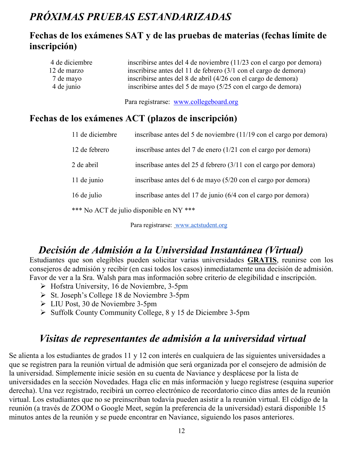# *PRÓXIMAS PRUEBAS ESTANDARIZADAS*

### **Fechas de los exámenes SAT y de las pruebas de materias (fechas límite de inscripción)**

| 4 de diciembre | inscribirse antes del 4 de noviembre (11/23 con el cargo por demora) |
|----------------|----------------------------------------------------------------------|
| 12 de marzo    | inscribirse antes del 11 de febrero (3/1 con el cargo de demora)     |
| 7 de mayo      | inscribirse antes del 8 de abril (4/26 con el cargo de demora)       |
| 4 de junio     | inscribirse antes del 5 de mayo (5/25 con el cargo de demora)        |

Para registrarse: [www.collegeboard.org](http://www.collegeboard.org/)

### **Fechas de los exámenes ACT (plazos de inscripción)**

| 11 de diciembre | inscríbase antes del 5 de noviembre (11/19 con el cargo por demora) |
|-----------------|---------------------------------------------------------------------|
| 12 de febrero   | inscríbase antes del 7 de enero (1/21 con el cargo por demora)      |
| 2 de abril      | inscríbase antes del 25 d febrero (3/11 con el cargo por demora)    |
| 11 de junio     | inscríbase antes del 6 de mayo (5/20 con el cargo por demora)       |
| 16 de julio     | inscríbase antes del 17 de junio (6/4 con el cargo por demora)      |
|                 | *** No ACT de julio disponible en NY ***                            |

Para registrarse: [www.actstudent.org](http://www.actstudent.org/)

# *Decisión de Admisión a la Universidad Instantánea (Virtual)*

Estudiantes que son elegibles pueden solicitar varias universidades **GRATIS**, reunirse con los consejeros de admisión y recibir (en casi todos los casos) inmediatamente una decisión de admisión. Favor de ver a la Sra. Walsh para mas información sobre criterio de elegibilidad e inscripción.

- $\triangleright$  Hofstra University, 16 de Noviembre, 3-5pm
- $\triangleright$  St. Joseph's College 18 de Noviembre 3-5pm
- LIU Post, 30 de Noviembre 3-5pm
- $\triangleright$  Suffolk County Community College, 8 y 15 de Diciembre 3-5pm

### *Visitas de representantes de admisión a la universidad virtual*

Se alienta a los estudiantes de grados 11 y 12 con interés en cualquiera de las siguientes universidades a que se registren para la reunión virtual de admisión que será organizada por el consejero de admisión de la universidad. Simplemente inicie sesión en su cuenta de Naviance y desplácese por la lista de universidades en la sección Novedades. Haga clic en más información y luego regístrese (esquina superior derecha). Una vez registrado, recibirá un correo electrónico de recordatorio cinco días antes de la reunión virtual. Los estudiantes que no se preinscriban todavía pueden asistir a la reunión virtual. El código de la reunión (a través de ZOOM o Google Meet, según la preferencia de la universidad) estará disponible 15 minutos antes de la reunión y se puede encontrar en Naviance, siguiendo los pasos anteriores.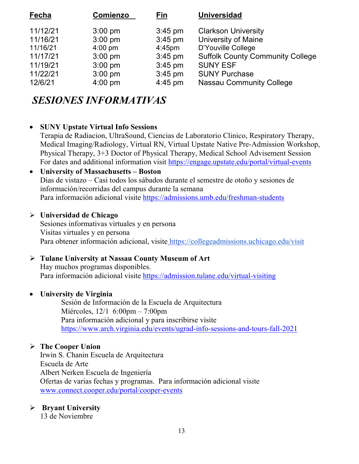| Fecha    | <b>Comienzo</b>   | Fin       | <b>Universidad</b>                      |
|----------|-------------------|-----------|-----------------------------------------|
| 11/12/21 | $3:00$ pm         | $3:45$ pm | <b>Clarkson University</b>              |
| 11/16/21 | $3:00$ pm         | $3:45$ pm | University of Maine                     |
| 11/16/21 | $4:00 \text{ pm}$ | $4:45$ pm | D'Youville College                      |
| 11/17/21 | $3:00$ pm         | $3:45$ pm | <b>Suffolk County Community College</b> |
| 11/19/21 | $3:00$ pm         | $3:45$ pm | <b>SUNY ESF</b>                         |
| 11/22/21 | $3:00$ pm         | $3:45$ pm | <b>SUNY Purchase</b>                    |
| 12/6/21  | $4:00$ pm         | $4:45$ pm | <b>Nassau Community College</b>         |

# *SESIONES INFORMATIVAS*

### • **SUNY Upstate Virtual Info Sessions**

Terapia de Radiacion, UltraSound, Ciencias de Laboratorio Clinico, Respiratory Therapy, Medical Imaging/Radiology, Virtual RN, Virtual Upstate Native Pre-Admission Workshop, Physical Therapy, 3+3 Doctor of Physical Therapy, Medical School Advisement Session For dates and additional information visit<https://engage.upstate.edu/portal/virtual-events>

### • **University of Massachusetts – Boston** Dias de vistazo – Casi todos los sábados durante el semestre de otoño y sesiones de información/recorridas del campus durante la semana Para información adicional visite<https://admissions.umb.edu/freshman-students>

### **Universidad de Chicago**

Sesiones informativas virtuales y en persona Visitas virtuales y en persona Para obtener información adicional, visite <https://collegeadmissions.uchicago.edu/visit>

### **Tulane University at Nassau County Museum of Art**

Hay muchos programas disponibles. Para información adicional visite <https://admission.tulane.edu/virtual-visiting>

### • **University de Virginia**

Sesión de Información de la Escuela de Arquitectura Miércoles, 12/1 6:00pm – 7:00pm Para información adicional y para inscribirse visite <https://www.arch.virginia.edu/events/ugrad-info-sessions-and-tours-fall-2021>

### **The Cooper Union**

Irwin S. Chanin Escuela de Arquitectura Escuela de Arte Albert Nerken Escuela de Ingeniería Ofertas de varias fechas y programas. Para información adicional visite [www.connect.cooper.edu/portal/cooper-events](http://www.connect.cooper.edu/portal/cooper-events)

### **Bryant University**

13 de Noviembre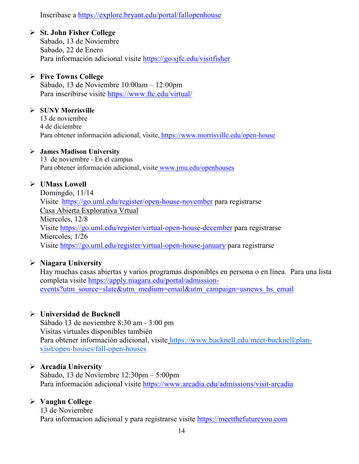Inscribase a<https://explore.bryant.edu/portal/fallopenhouse>

### **St. John Fisher College**

Sabado, 13 de Noviembre Sabado, 22 de Enero Para información adicional visite<https://go.sjfc.edu/visitfisher>

### **Five Towns College**

Sábado, 13 de Noviembre 10:00am – 12:00pm Para inscribirse visite <https://www.ftc.edu/virtual/>

### **SUNY Morrisville**

13 de noviembre 4 de diciembre Para obtener información adicional, visite, <https://www.morrisville.edu/open-house>

### **James Madison University**

13 de noviembre - En el campus Para obtener información adicional, visite [www.jmu.edu/openhouses](http://www.jmu.edu/openhouses)

### **UMass Lowell**

Domingdo, 11/14 Visite <https://go.uml.edu/register/open-house-november> para registrarse Casa Abierta Explorativa Vrtual Miercoles, 12/8 Visite<https://go.uml.edu/register/virtual-open-house-december> para registrarse Miercoles, 1/26 Visite<https://go.uml.edu/register/virtual-open-house-january> para registrarse

### **Niagara University**

Hay muchas casas abiertas y varios programas disponibles en persona o en línea. Para una lista completa visite [https://apply.niagara.edu/portal/admission](https://apply.niagara.edu/portal/admission-events?utm_source=slate&utm_medium=email&utm_campaign=usnews_hs_email)[events?utm\\_source=slate&utm\\_medium=email&utm\\_campaign=usnews\\_hs\\_email](https://apply.niagara.edu/portal/admission-events?utm_source=slate&utm_medium=email&utm_campaign=usnews_hs_email)

### **Universidad de Bucknell**

Sábado 13 de noviembre 8:30 am - 3:00 pm Visitas virtuales disponibles también Para obtener información adicional, visite [https://www.bucknell.edu/meet-bucknell/plan](https://www.bucknell.edu/meet-bucknell/plan-visit/open-houses/fall-open-houses)[visit/open-houses/fall-open-houses](https://www.bucknell.edu/meet-bucknell/plan-visit/open-houses/fall-open-houses)

### **Arcadia University**

Sábado, 13 de Noviembre 12:30pm – 5:00pm Para información adicional visite <https://www.arcadia.edu/admissions/visit-arcadia>

### **Vaughn College**

13 de Noviembre Para informacion adicional y para registrarse visite [https://meetthefutureyou.com](https://meetthefutureyou.com/)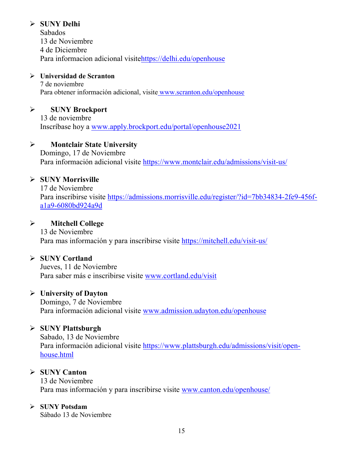### **SUNY Delhi**

Sabados 13 de Noviembre 4 de Diciembre Para informacion adicional visit[ehttps://delhi.edu/openhouse](https://delhi.edu/openhouse)

### **Universidad de Scranton**

7 de noviembre Para obtener información adicional, visite [www.scranton.edu/openhouse](http://www.scranton.edu/openhouse)

### **SUNY Brockport**

13 de noviembre Inscríbase hoy a [www.apply.brockport.edu/portal/openhouse2021](http://www.apply.brockport.edu/portal/openhouse2021)

### **Montclair State University**

Domingo, 17 de Noviembre Para información adicional visite<https://www.montclair.edu/admissions/visit-us/>

### **SUNY Morrisville**

17 de Noviembre Para inscribirse visite [https://admissions.morrisville.edu/register/?id=7bb34834-2fe9-456f](https://admissions.morrisville.edu/register/?id=7bb34834-2fe9-456f-a1a9-6080bd924a9d)[a1a9-6080bd924a9d](https://admissions.morrisville.edu/register/?id=7bb34834-2fe9-456f-a1a9-6080bd924a9d)

### **Mitchell College**

13 de Noviembre Para mas información y para inscribirse visite<https://mitchell.edu/visit-us/>

### **SUNY Cortland**

Jueves, 11 de Noviembre Para saber más e inscribirse visite [www.cortland.edu/visit](http://www.cortland.edu/visit)

### **University of Dayton**

Domingo, 7 de Noviembre Para información adicional visite [www.admission.udayton.edu/openhouse](http://www.admission.udayton.edu/openhouse)

### **SUNY Plattsburgh**

Sabado, 13 de Noviembre Para información adicional visite [https://www.plattsburgh.edu/admissions/visit/open](https://www.plattsburgh.edu/admissions/visit/open-house.html)[house.html](https://www.plattsburgh.edu/admissions/visit/open-house.html)

### **SUNY Canton**

13 de Noviembre Para mas información y para inscribirse visite [www.canton.edu/openhouse/](http://www.canton.edu/openhouse/)

### **SUNY Potsdam**

Sábado 13 de Noviembre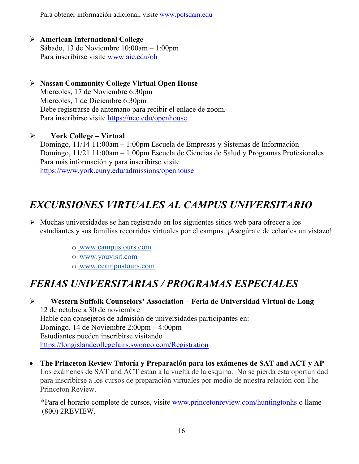Para obtener información adicional, visite [www.potsdam.edu](http://www.potsdam.edu/)

- **American International College** Sábado, 13 de Noviembre 10:00am – 1:00pm Para inscribirse visite [www.aic.edu/oh](http://www.aic.edu/oh)
- **Nassau Community College Virtual Open House** Miercoles, 17 de Noviembre 6:30pm Miercoles, 1 de Diciembre 6:30pm Debe registrarse de antemano para recibir el enlace de zoom. Para inscribirse visite <https://ncc.edu/openhouse>
- **York College – Virtual** Domingo, 11/14 11:00am – 1:00pm Escuela de Empresas y Sistemas de Información Domingo, 11/21 11:00am – 1:00pm Escuela de Ciencias de Salud y Programas Profesionales Para más información y para inscribirse visite <https://www.york.cuny.edu/admissions/openhouse>

# *EXCURSIONES VIRTUALES AL CAMPUS UNIVERSITARIO*

- $\triangleright$  Muchas universidades se han registrado en los siguientes sitios web para ofrecer a los estudiantes y sus familias recorridos virtuales por el campus. ¡Asegúrate de echarles un vistazo!
	- o [www.campustours.com](http://www.campustours.com/)
	- o [www.youvisit.com](http://www.youvisit.com/)
	- o [www.ecampustours.com](http://www.ecampustours.com/)

# *FERIAS UNIVERSITARIAS / PROGRAMAS ESPECIALES*

 **Western Suffolk Counselors' Association – Feria de Universidad Virtual de Long**  12 de octubre a 30 de noviembre Hable con consejeros de admisión de universidades participantes en: Domingo, 14 de Noviembre 2:00pm – 4:00pm Estudiantes pueden inscribirse visitando <https://longislandcollegefairs.swoogo.com/Registration>

• **The Princeton Review Tutoría y Preparación para los exámenes de SAT and ACT y AP**  Los exámenes de SAT and ACT están a la vuelta de la esquina. No se pierda esta oportunidad para inscribirse a los cursos de preparación virtuales por medio de nuestra relación con The Princeton Review.

 \*Para el horario complete de cursos, visite [www.princetonreview.com/huntingtonhs](http://www.princetonreview.com/huntingtonhs) o llame (800) 2REVIEW.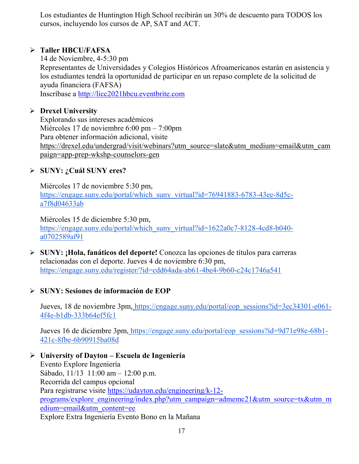Los estudiantes de Huntington High School recibirán un 30% de descuento para TODOS los cursos, incluyendo los cursos de AP, SAT and ACT.

### **Taller HBCU/FAFSA**

14 de Noviembre, 4-5:30 pm Representantes de Universidades y Colegios Históricos Afroamericanos estarán en asistencia y los estudiantes tendrá la oportunidad de participar en un repaso complete de la solicitud de ayuda financiera (FAFSA) Inscríbase a [http://licc2021hbcu.eventbrite.com](http://licc2021hbcu.eventbrite.com/)

### **Drexel University**

Explorando sus intereses académicos Miércoles 17 de noviembre 6:00 pm – 7:00pm Para obtener información adicional, visit[e](https://drexel.edu/undergrad/visit/webinars?utm_source=slate&utm_medium=email&utm_campaign=app-prep-wkshp-counselors-gen) [https://drexel.edu/undergrad/visit/webinars?utm\\_source=slate&utm\\_medium=email&utm\\_cam](https://drexel.edu/undergrad/visit/webinars?utm_source=slate&utm_medium=email&utm_campaign=app-prep-wkshp-counselors-gen) [paign=app-prep-wkshp-counselors-gen](https://drexel.edu/undergrad/visit/webinars?utm_source=slate&utm_medium=email&utm_campaign=app-prep-wkshp-counselors-gen)

### **SUNY: ¿Cuál SUNY eres?**

Miércoles 17 de noviembre 5:30 pm[,](https://engage.suny.edu/portal/which_suny_virtual?id=76941883-6783-43ee-8d5c-a7f8d04633ab) [https://engage.suny.edu/portal/which\\_suny\\_virtual?id=76941883-6783-43ee-8d5c](https://engage.suny.edu/portal/which_suny_virtual?id=76941883-6783-43ee-8d5c-a7f8d04633ab)[a7f8d04633ab](https://engage.suny.edu/portal/which_suny_virtual?id=76941883-6783-43ee-8d5c-a7f8d04633ab)

Miércoles 15 de diciembre 5:30 pm[,](https://engage.suny.edu/portal/which_suny_virtual?id=1622a0c7-8128-4cd8-b040-a0702589af91) [https://engage.suny.edu/portal/which\\_suny\\_virtual?id=1622a0c7-8128-4cd8-b040](https://engage.suny.edu/portal/which_suny_virtual?id=1622a0c7-8128-4cd8-b040-a0702589af91) [a0702589af91](https://engage.suny.edu/portal/which_suny_virtual?id=1622a0c7-8128-4cd8-b040-a0702589af91)

- **SUNY: ¡Hola, fanáticos del deporte!** Conozca las opciones de títulos para carreras relacionadas con el deporte. Jueves 4 de noviembre 6:30 pm[,](https://engage.suny.edu/register/?id=cdd64ada-ab61-4be4-9b60-c24c1746a541) <https://engage.suny.edu/register/?id=cdd64ada-ab61-4be4-9b60-c24c1746a541>
- **SUNY: Sesiones de información de EOP**

Jueves, 18 de noviembre 3pm, [https://engage.suny.edu/portal/eop\\_sessions?id=3ec34301-e061-](https://engage.suny.edu/portal/eop_sessions?id=3ec34301-e061-4f4e-b1db-333b64ef5fc1) [4f4e-b1db-333b64ef5fc1](https://engage.suny.edu/portal/eop_sessions?id=3ec34301-e061-4f4e-b1db-333b64ef5fc1)

Jueves 16 de diciembre 3pm, [https://engage.suny.edu/portal/eop\\_sessions?id=9d71e98e-68b1-](https://engage.suny.edu/portal/eop_sessions?id=9d71e98e-68b1-421c-8fbe-6b90915ba08d) [421c-8fbe-6b90915ba08d](https://engage.suny.edu/portal/eop_sessions?id=9d71e98e-68b1-421c-8fbe-6b90915ba08d)

 **University of Dayton – Escuela de Ingeniería**  Evento Explore Ingeniería Sábado, 11/13 11:00 am – 12:00 p.m. Recorrida del campus opcional Para registrarse visite [https://udayton.edu/engineering/k-12](https://udayton.edu/engineering/k-12-programs/explore_engineering/index.php?utm_campaign=admemc21&utm_source=tx&utm_medium=email&utm_content=ee) [programs/explore\\_engineering/index.php?utm\\_campaign=admemc21&utm\\_source=tx&utm\\_m](https://udayton.edu/engineering/k-12-programs/explore_engineering/index.php?utm_campaign=admemc21&utm_source=tx&utm_medium=email&utm_content=ee) [edium=email&utm\\_content=ee](https://udayton.edu/engineering/k-12-programs/explore_engineering/index.php?utm_campaign=admemc21&utm_source=tx&utm_medium=email&utm_content=ee) Explore Extra Ingeniería Evento Bono en la Mañana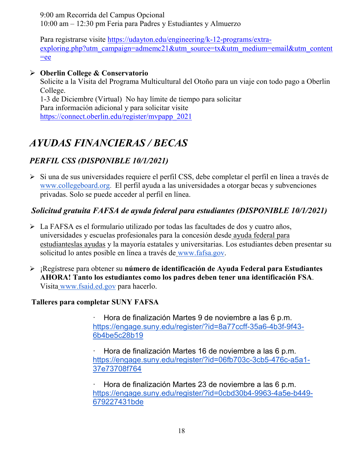9:00 am Recorrida del Campus Opcional 10:00 am – 12:30 pm Feria para Padres y Estudiantes y Almuerzo

Para registrarse visite [https://udayton.edu/engineering/k-12-programs/extra](https://udayton.edu/engineering/k-12-programs/extra-exploring.php?utm_campaign=admemc21&utm_source=tx&utm_medium=email&utm_content=ee)[exploring.php?utm\\_campaign=admemc21&utm\\_source=tx&utm\\_medium=email&utm\\_content](https://udayton.edu/engineering/k-12-programs/extra-exploring.php?utm_campaign=admemc21&utm_source=tx&utm_medium=email&utm_content=ee)  $=$ ee

### **Oberlin College & Conservatorio**

Solicite a la Visita del Programa Multicultural del Otoño para un viaje con todo pago a Oberlin College. 1-3 de Diciembre (Virtual) No hay límite de tiempo para solicitar Para información adicional y para solicitar visite

[https://connect.oberlin.edu/register/mvpapp\\_2021](https://connect.oberlin.edu/register/mvpapp_2021)

# *AYUDAS FINANCIERAS / BECAS*

### *PERFIL CSS (DISPONIBLE 10/1/2021)*

Si una d[e](http://www.collegeboard.org/) sus universidades requiere el perfil CSS, debe completar el perfil en línea a través de [www.collegeboard.org.](http://www.collegeboard.org/) El perfil ayuda a las universidades a otorgar becas y subvenciones privadas. Solo se puede acceder al perfil en línea.

### *Solicitud gratuita FAFSA de ayuda federal para estudiantes (DISPONIBLE 10/1/2021)*

- La FAFSA es el formulario utilizado por todas las facultades de dos y cuatro años, universidades y escuelas profesionales para la concesión desde [ayuda federal para](http://studentaid.ed.gov/students/publications/student_guide/2010-2011/english/typesofFSA_grants.htm)  [estudianteslas ayudas](http://studentaid.ed.gov/students/publications/student_guide/2010-2011/english/typesofFSA_grants.htm) y la mayoría estatales y universitarias. Los estudiantes deben presentar su solicitud lo antes posible en línea a través de [www.fafsa.gov.](http://www.fafsa.gov/)
- ¡Regístrese para obtener su **número de identificación de Ayuda Federal para Estudiantes AHORA! Tanto los estudiantes como los padres deben tener una identificación FSA**. Visita [www.fsaid.ed.gov](http://www.fsaid.ed.gov/) para hacerlo.

### **Talleres para completar SUNY FAFSA**

· Hora de finalización Martes 9 de noviembre a las 6 p.m[.](https://engage.suny.edu/register/?id=8a77ccff-35a6-4b3f-9f43-6b4be5c28b19) [https://engage.suny.edu/register/?id=8a77ccff-35a6-4b3f-9f43-](https://engage.suny.edu/register/?id=8a77ccff-35a6-4b3f-9f43-6b4be5c28b19) [6b4be5c28b19](https://engage.suny.edu/register/?id=8a77ccff-35a6-4b3f-9f43-6b4be5c28b19)

· Hora de finalización Martes 16 de noviembre a las 6 p.m[.](https://engage.suny.edu/register/?id=06fb703c-3cb5-476c-a5a1-37e73708f764) [https://engage.suny.edu/register/?id=06fb703c-3cb5-476c-a5a1-](https://engage.suny.edu/register/?id=06fb703c-3cb5-476c-a5a1-37e73708f764) [37e73708f764](https://engage.suny.edu/register/?id=06fb703c-3cb5-476c-a5a1-37e73708f764)

· Hora de finalización Martes 23 de noviembre a las 6 p.m[.](https://engage.suny.edu/register/?id=0cbd30b4-9963-4a5e-b449-679227431bde) [https://engage.suny.edu/register/?id=0cbd30b4-9963-4a5e-b449-](https://engage.suny.edu/register/?id=0cbd30b4-9963-4a5e-b449-679227431bde) [679227431bde](https://engage.suny.edu/register/?id=0cbd30b4-9963-4a5e-b449-679227431bde)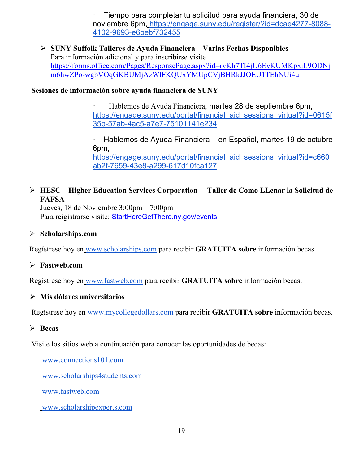· Tiempo para completar tu solicitud para ayuda financiera, 30 de noviembre 6pm, [https://engage.suny.edu/register/?id=dcae4277-8088-](https://engage.suny.edu/register/?id=dcae4277-8088-4102-9693-e6bebf732455) [4102-9693-e6bebf732455](https://engage.suny.edu/register/?id=dcae4277-8088-4102-9693-e6bebf732455)

 **SUNY Suffolk Talleres de Ayuda Financiera – Varias Fechas Disponibles** Para información adicional y para inscribirse visite [https://forms.office.com/Pages/ResponsePage.aspx?id=rvKh7TI4jU6EyKUMKpxiL9ODNj](https://forms.office.com/Pages/ResponsePage.aspx?id=rvKh7TI4jU6EyKUMKpxiL9ODNjm6hwZPo-wgbVOqGKBUMjAzWlFKQUxYMUpCVjBHRkJJOEU1TEhNUi4u) [m6hwZPo-wgbVOqGKBUMjAzWlFKQUxYMUpCVjBHRkJJOEU1TEhNUi4u](https://forms.office.com/Pages/ResponsePage.aspx?id=rvKh7TI4jU6EyKUMKpxiL9ODNjm6hwZPo-wgbVOqGKBUMjAzWlFKQUxYMUpCVjBHRkJJOEU1TEhNUi4u)

### **Sesiones de información sobre ayuda financiera de SUNY**

Hablemos de Ayuda Financiera[,](https://engage.suny.edu/portal/financial_aid_sessions_virtual?id=0615f35b-57ab-4ac5-a7e7-75101141e234) martes 28 de septiembre 6pm, https://engage.suny.edu/portal/financial aid sessions virtual?id=0615f [35b-57ab-4ac5-a7e7-75101141e234](https://engage.suny.edu/portal/financial_aid_sessions_virtual?id=0615f35b-57ab-4ac5-a7e7-75101141e234)

· Hablemos de Ayuda Financiera – [en Español, martes 19 de octubre](https://engage.suny.edu/portal/financial_aid_sessions_virtual?id=c660ab2f-7659-43e8-a299-617d10fca127)  6pm, https://engage.suny.edu/portal/financial aid sessions virtual?id=c660 [ab2f-7659-43e8-a299-617d10fca127](https://engage.suny.edu/portal/financial_aid_sessions_virtual?id=c660ab2f-7659-43e8-a299-617d10fca127)

### **HESC – Higher Education Services Corporation – Taller de Como LLenar la Solicitud de FAFSA**

Jueves, 18 de Noviembre 3:00pm – 7:00pm Para reigistrarse visite: [StartHereGetThere.ny.gov/events.](https://startheregetthere.ny.gov/events)

### **Scholarships.com**

Regístrese hoy en [www.scholarships.com](http://www.scholarships.com/) para recibir **GRATUITA sobre** información becas

### **Fastweb.com**

Regístrese hoy en [www.fastweb.com](http://www.fastweb.com/) para recibir **GRATUITA sobre** información becas.

#### **Mis dólares universitarios**

Regístrese hoy en [www.mycollegedollars.com](http://www.mycollegedollars.com/) para recibir **GRATUITA sobre** información becas.

### **Becas**

Visite los sitios web a continuación para conocer las oportunidades de becas:

[www.connections101.com](http://www.connections101.com/)

[www.scholarships4students.com](http://www.scholarships4students.com/)

[www.fastweb.com](http://www.fastweb.com/)

[www.scholarshipexperts.com](http://www.scholarshipexperts.com/)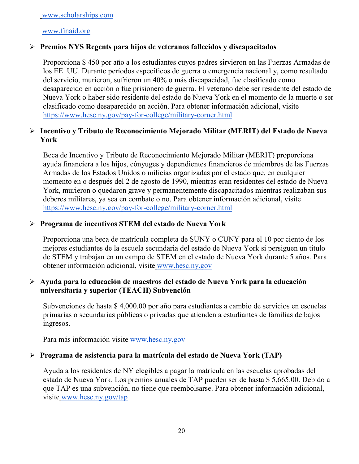[www.scholarships.com](http://www.scholarships.com/)

#### [www.finaid.org](http://www.finaid.org/)

### **Premios NYS Regents para hijos de veteranos fallecidos y discapacitados**

Proporciona \$ 450 por año a los estudiantes cuyos padres sirvieron en las Fuerzas Armadas de los EE. UU. Durante períodos específicos de guerra o emergencia nacional y, como resultado del servicio, murieron, sufrieron un 40% o más discapacidad, fue clasificado como desaparecido en acción o fue prisionero de guerra. El veterano debe ser residente del estado de Nueva York o haber sido residente del estado de Nueva York en el momento de la muerte o ser clasificado como desaparecido en acción. Para obtener información adicional, visit[e](https://www.hesc.ny.gov/pay-for-college/military-corner.html) <https://www.hesc.ny.gov/pay-for-college/military-corner.html>

### **Incentivo y Tributo de Reconocimiento Mejorado Militar (MERIT) del Estado de Nueva York**

Beca de Incentivo y Tributo de Reconocimiento Mejorado Militar (MERIT) proporciona ayuda financiera a los hijos, cónyuges y dependientes financieros de miembros de las Fuerzas Armadas de los Estados Unidos o milicias organizadas por el estado que, en cualquier momento en o después del 2 de agosto de 1990, mientras eran residentes del estado de Nueva York, murieron o quedaron grave y permanentemente discapacitados mientras realizaban sus deberes militares, ya sea en combate o no. Para obtener información adicional, visit[e](https://www.hesc.ny.gov/pay-for-college/military-corner.html) <https://www.hesc.ny.gov/pay-for-college/military-corner.html>

### **Programa de incentivos STEM del estado de Nueva York**

Proporciona una beca de matrícula completa de SUNY o CUNY para el 10 por ciento de los mejores estudiantes de la escuela secundaria del estado de Nueva York si persiguen un título de STEM y trabajan en un campo de STEM en el estado de Nueva York durante 5 años. Para obtener información adicional, visite [www.hesc.ny.gov](http://www.hesc.ny.gov/)

### **Ayuda para la educación de maestros del estado de Nueva York para la educación universitaria y superior (TEACH) Subvención**

Subvenciones de hasta \$ 4,000.00 por año para estudiantes a cambio de servicios en escuelas primarias o secundarias públicas o privadas que atienden a estudiantes de familias de bajos ingresos.

Para más información visite [www.hesc.ny.gov](http://www.hesc.ny.gov/) 

### **Programa de asistencia para la matrícula del estado de Nueva York (TAP)**

Ayuda a los residentes de NY elegibles a pagar la matrícula en las escuelas aprobadas del estado de Nueva York. Los premios anuales de TAP pueden ser de hasta \$ 5,665.00. Debido a que TAP es una subvención, no tiene que reembolsarse. Para obtener información adicional, visite [www.hesc.ny.gov/tap](http://www.hesc.ny.gov/tap)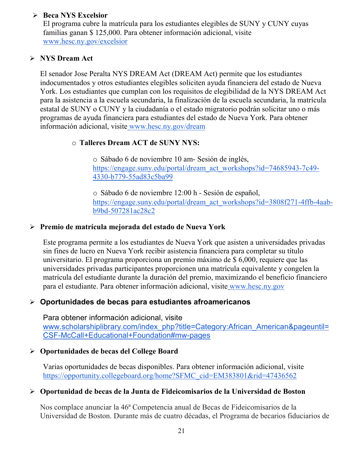### **Beca NYS Excelsior**

El programa cubre la matrícula para los estudiantes elegibles de SUNY y CUNY cuyas familias ganan \$ 125,000. Para obtener información adicional, visit[e](http://www.hesc.ny.gov/) [www.hesc.ny.gov/](http://www.hesc.ny.gov/)excelsior

### **NYS Dream Act**

El senador Jose Peralta NYS DREAM Act (DREAM Act) permite que los estudiantes indocumentados y otros estudiantes elegibles soliciten ayuda financiera del estado de Nueva York. Los estudiantes que cumplan con los requisitos de elegibilidad de la NYS DREAM Act para la asistencia a la escuela secundaria, la finalización de la escuela secundaria, la matrícula estatal de SUNY o CUNY y la ciudadanía o el estado migratorio podrán solicitar uno o más programas de ayuda financiera para estudiantes del estado de Nueva York. Para obtener información adicional, visite [www.hesc.ny.gov/dream](http://www.hesc.ny.gov/dream)

### o **Talleres Dream ACT de SUNY NYS:**

o Sábado 6 de noviembre 10 am- Sesión de inglés[,](https://engage.suny.edu/portal/dream_act_workshops?id=74685943-7c49-4330-b779-55ad83c5ba99) [https://engage.suny.edu/portal/dream\\_act\\_workshops?id=74685943-7c49-](https://engage.suny.edu/portal/dream_act_workshops?id=74685943-7c49-4330-b779-55ad83c5ba99) [4330-b779-55ad83c5ba99](https://engage.suny.edu/portal/dream_act_workshops?id=74685943-7c49-4330-b779-55ad83c5ba99)

o Sábado 6 de noviembre 12:00 h - Sesión de español[,](https://engage.suny.edu/portal/dream_act_workshops?id=3808f271-4ffb-4aab-b9bd-507281ac28c2) [https://engage.suny.edu/portal/dream\\_act\\_workshops?id=3808f271-4ffb-4aab](https://engage.suny.edu/portal/dream_act_workshops?id=3808f271-4ffb-4aab-b9bd-507281ac28c2)[b9bd-507281ac28c2](https://engage.suny.edu/portal/dream_act_workshops?id=3808f271-4ffb-4aab-b9bd-507281ac28c2)

### **Premio de matrícula mejorada del estado de Nueva York**

Este programa permite a los estudiantes de Nueva York que asisten a universidades privadas sin fines de lucro en Nueva York recibir asistencia financiera para completar su título universitario. El programa proporciona un premio máximo de \$ 6,000, requiere que las universidades privadas participantes proporcionen una matrícula equivalente y congelen la matrícula del estudiante durante la duración del premio, maximizando el beneficio financiero para el estudiante. Para obtener información adicional, visite [www.hesc.ny.gov](http://www.hesc.ny.gov/)

### **Oportunidades de becas para estudiantes afroamericanos**

Para obtener información adicional, visit[e](http://www.scholarshiplibrary.com/index_php?title=Category:African_American&pageuntil=CSF-McCall+Educational+Foundation#mw-pages) [www.scholarshiplibrary.com/index\\_php?title=Category:African\\_American&pageuntil=](http://www.scholarshiplibrary.com/index_php?title=Category:African_American&pageuntil=CSF-McCall+Educational+Foundation#mw-pages) [CSF-McCall+Educational+Foundation#mw-pages](http://www.scholarshiplibrary.com/index_php?title=Category:African_American&pageuntil=CSF-McCall+Educational+Foundation#mw-pages)

### **Oportunidades de becas del College Board**

Varias oportunidades de becas disponibles. Para obtener información adicional, visit[e](https://opportunity.collegeboard.org/home?SFMC_cid=EM383801&rid=47436562) [https://opportunity.collegeboard.org/home?SFMC\\_cid=EM383801&rid=47436562](https://opportunity.collegeboard.org/home?SFMC_cid=EM383801&rid=47436562)

### **Oportunidad de becas de la Junta de Fideicomisarios de la Universidad de Boston**

Nos complace anunciar la 46ª Competencia anual de Becas de Fideicomisarios de la Universidad de Boston. Durante más de cuatro décadas, el Programa de becarios fiduciarios de